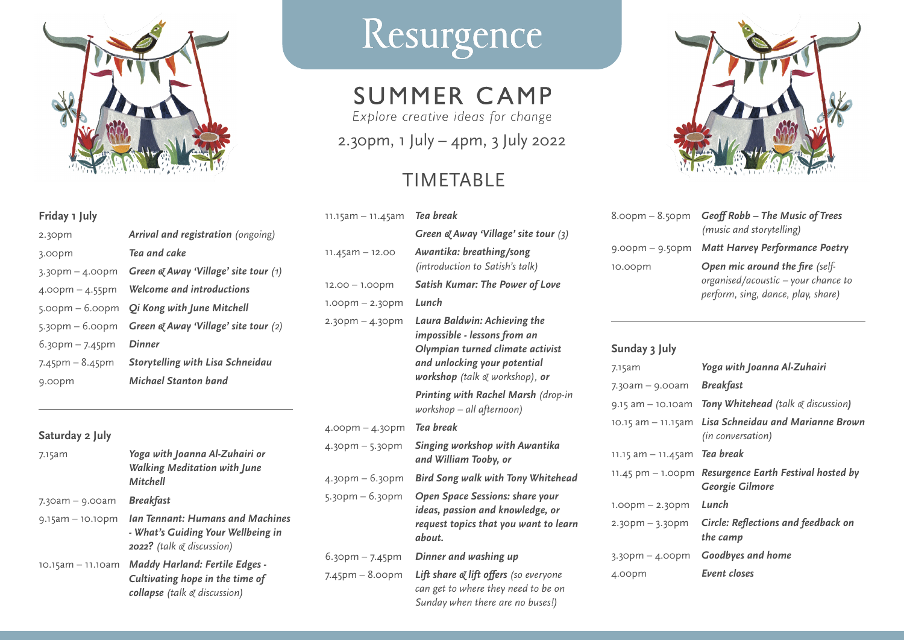

### **Friday 1 July**

| 2.30pm                | Arrival and registration (ongoing)          |
|-----------------------|---------------------------------------------|
| 3.00pm                | Tea and cake                                |
| $3.30$ pm $- 4.00$ pm | Green $\alpha$ Away 'Village' site tour (1) |
| $4.00$ pm $- 4.55$ pm | Welcome and introductions                   |
| $5.00pm - 6.00pm$     | <b>Qi Kong with June Mitchell</b>           |
| $5.30$ pm – $6.00$ pm | Green & Away 'Village' site tour (2)        |
| $6.3$ opm – 7.45pm    | Dinner                                      |
| $7.45$ pm – 8.45pm    | <b>Storytelling with Lisa Schneidau</b>     |
| 9.00pm                | Michael Stanton band                        |

### **Saturday 2 July**

| 7.15am               | Yoga with Joanna Al-Zuhairi or<br><b>Walking Meditation with June</b><br>Mitchell                               |
|----------------------|-----------------------------------------------------------------------------------------------------------------|
| $7.30$ am – 9.00am   | Breakfast                                                                                                       |
| $9.15$ am – 10.10pm  | <b>Ian Tennant: Humans and Machines</b><br>- What's Guiding Your Wellbeing in<br>2022? (talk & discussion)      |
| $10.15$ am – 11.10am | <b>Maddy Harland: Fertile Edges -</b><br>Cultivating hope in the time of<br>collapse (talk $\alpha$ discussion) |

# Resurgence

## **SUMMER CAMP**

Explore creative ideas for change

2.30pm, 1 July – 4pm, 3 July 2022

### TIMETABLE

| $11.15$ am – 11.45am  | Tea break                                                                                                                                                                    |
|-----------------------|------------------------------------------------------------------------------------------------------------------------------------------------------------------------------|
|                       | Green $\alpha$ Away 'Village' site tour $(3)$                                                                                                                                |
| $11.45$ am – 12.00    | Awantika: breathing/song<br>(introduction to Satish's talk)                                                                                                                  |
| $12.00 - 1.00$ pm     | <b>Satish Kumar: The Power of Love</b>                                                                                                                                       |
| $1.00$ pm $- 2.30$ pm | Lunch                                                                                                                                                                        |
| 2.30pm – 4.30pm       | Laura Baldwin: Achieving the<br>impossible - lessons from an<br>Olympian turned climate activist<br>and unlocking your potential<br><b>workshop</b> (talk $\&$ workshop), or |
|                       | Printing with Rachel Marsh (drop-in<br>workshop – all afternoon)                                                                                                             |
| 4.00pm – 4.30pm       | Tea break                                                                                                                                                                    |
| 4.30pm – 5.30pm       | Singing workshop with Awantika<br>and William Tooby, or                                                                                                                      |
| 4.30pm – 6.30pm       | <b>Bird Song walk with Tony Whitehead</b>                                                                                                                                    |
| 5.30pm - 6.30pm       | <b>Open Space Sessions: share your</b><br>ideas, passion and knowledge, or<br>request topics that you want to learn<br>about.                                                |
| 6.30pm - 7.45pm       | Dinner and washing up                                                                                                                                                        |
| 7.45pm – 8.00pm       | Lift share & lift offers (so everyone<br>can get to where they need to be on<br>Sunday when there are no buses!)                                                             |



| $8.00$ pm $- 8.50$ pm | Geoff Robb - The Music of Trees<br>(music and storytelling)                                                  |
|-----------------------|--------------------------------------------------------------------------------------------------------------|
| $9.00$ pm $-9.50$ pm  | <b>Matt Harvey Performance Poetry</b>                                                                        |
| 10.00pm               | Open mic around the fire (self-<br>organised/acoustic – your chance to<br>perform, sing, dance, play, share) |

| Sunday 3 July                        |                                                        |
|--------------------------------------|--------------------------------------------------------|
| 7.15am                               | Yoga with Joanna Al-Zuhairi                            |
| $7.30$ am $-$ 9.00am                 | <b>Breakfast</b>                                       |
| 9.15 am – 10.10am                    | <b>Tony Whitehead</b> (talk $\alpha$ discussion)       |
| $10.15$ am – 11.15am                 | Lisa Schneidau and Marianne Brown<br>(in conversation) |
| $11.15$ am – 11.45am                 | Tea break                                              |
| $11.45 \text{ pm} - 1.00 \text{ pm}$ | Resurgence Earth Festival hosted by<br>Georgie Gilmore |
| $1.00$ pm $- 2.30$ pm                | Lunch                                                  |
| $2.30$ pm $-3.30$ pm                 | Circle: Reflections and feedback on<br>the camp        |
| $3.30$ pm – 4.00pm                   | Goodbyes and home                                      |
| 4.00pm                               | Event closes                                           |
|                                      |                                                        |